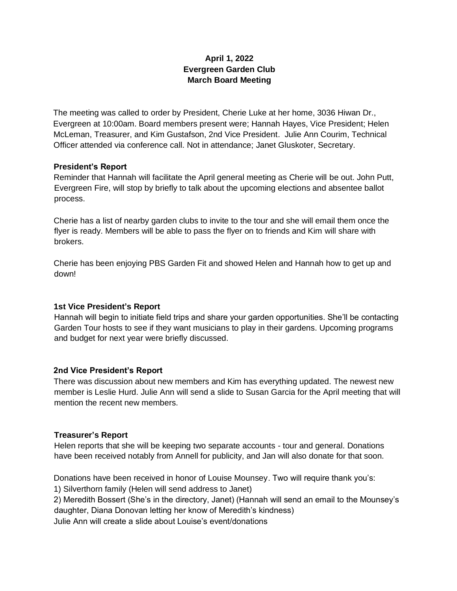# **April 1, 2022 Evergreen Garden Club March Board Meeting**

The meeting was called to order by President, Cherie Luke at her home, 3036 Hiwan Dr., Evergreen at 10:00am. Board members present were; Hannah Hayes, Vice President; Helen McLeman, Treasurer, and Kim Gustafson, 2nd Vice President. Julie Ann Courim, Technical Officer attended via conference call. Not in attendance; Janet Gluskoter, Secretary.

### **President's Report**

Reminder that Hannah will facilitate the April general meeting as Cherie will be out. John Putt, Evergreen Fire, will stop by briefly to talk about the upcoming elections and absentee ballot process.

Cherie has a list of nearby garden clubs to invite to the tour and she will email them once the flyer is ready. Members will be able to pass the flyer on to friends and Kim will share with brokers.

Cherie has been enjoying PBS Garden Fit and showed Helen and Hannah how to get up and down!

### **1st Vice President's Report**

Hannah will begin to initiate field trips and share your garden opportunities. She'll be contacting Garden Tour hosts to see if they want musicians to play in their gardens. Upcoming programs and budget for next year were briefly discussed.

### **2nd Vice President's Report**

There was discussion about new members and Kim has everything updated. The newest new member is Leslie Hurd. Julie Ann will send a slide to Susan Garcia for the April meeting that will mention the recent new members.

#### **Treasurer's Report**

Helen reports that she will be keeping two separate accounts - tour and general. Donations have been received notably from Annell for publicity, and Jan will also donate for that soon.

Donations have been received in honor of Louise Mounsey. Two will require thank you's:

1) Silverthorn family (Helen will send address to Janet)

2) Meredith Bossert (She's in the directory, Janet) (Hannah will send an email to the Mounsey's daughter, Diana Donovan letting her know of Meredith's kindness)

Julie Ann will create a slide about Louise's event/donations